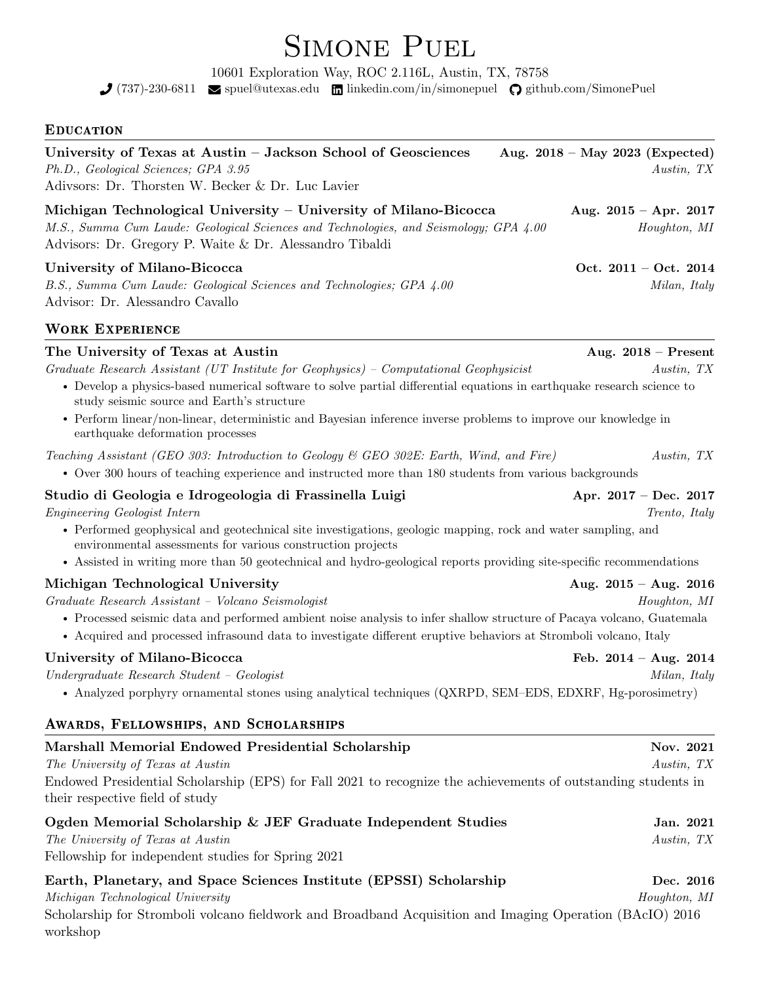# SIMONE PUEL

10601 Exploration Way, ROC 2.116L, Austin, TX, 78758

 $\bigcup$  (737)-230-6811  $\blacksquare$  [spuel@utexas.edu](mailto:spuel@utexas.edu)  $\blacksquare$  [linkedin.com/in/simonepuel](https://linkedin.com/in/simonepuel/en)  $\bigcirc$  [github.com/SimonePuel](https://github.com/)

## **EDUCATION**

| EDUCATION                                                                                                                                                                                                                                                                                                                                                                                                                                                 |                                                 |
|-----------------------------------------------------------------------------------------------------------------------------------------------------------------------------------------------------------------------------------------------------------------------------------------------------------------------------------------------------------------------------------------------------------------------------------------------------------|-------------------------------------------------|
| University of Texas at Austin - Jackson School of Geosciences<br>Ph.D., Geological Sciences; GPA 3.95<br>Adivsors: Dr. Thorsten W. Becker & Dr. Luc Lavier                                                                                                                                                                                                                                                                                                | Aug. $2018$ – May 2023 (Expected)<br>Austin, TX |
| Michigan Technological University – University of Milano-Bicocca<br>M.S., Summa Cum Laude: Geological Sciences and Technologies, and Seismology; GPA 4.00<br>Advisors: Dr. Gregory P. Waite & Dr. Alessandro Tibaldi                                                                                                                                                                                                                                      | Aug. $2015 - Apr.$ 2017<br>Houghton, MI         |
| University of Milano-Bicocca<br>B.S., Summa Cum Laude: Geological Sciences and Technologies; GPA 4.00<br>Advisor: Dr. Alessandro Cavallo                                                                                                                                                                                                                                                                                                                  | Oct. $2011 - Oct. 2014$<br>Milan, Italy         |
| <b>WORK EXPERIENCE</b>                                                                                                                                                                                                                                                                                                                                                                                                                                    |                                                 |
| The University of Texas at Austin<br>Graduate Research Assistant (UT Institute for Geophysics) – Computational Geophysicist<br>• Develop a physics-based numerical software to solve partial differential equations in earthquake research science to<br>study seismic source and Earth's structure<br>• Perform linear/non-linear, deterministic and Bayesian inference inverse problems to improve our knowledge in<br>earthquake deformation processes | Aug. $2018$ – Present<br>Austin, TX             |
| Teaching Assistant (GEO 303: Introduction to Geology & GEO 302E: Earth, Wind, and Fire)<br>• Over 300 hours of teaching experience and instructed more than 180 students from various backgrounds                                                                                                                                                                                                                                                         | Austin, TX                                      |
| Studio di Geologia e Idrogeologia di Frassinella Luigi<br>Engineering Geologist Intern<br>• Performed geophysical and geotechnical site investigations, geologic mapping, rock and water sampling, and<br>environmental assessments for various construction projects<br>• Assisted in writing more than 50 geotechnical and hydro-geological reports providing site-specific recommendations                                                             | Apr. $2017 - Dec. 2017$<br>Trento, Italy        |
| Michigan Technological University<br>Graduate Research Assistant - Volcano Seismologist<br>• Processed seismic data and performed ambient noise analysis to infer shallow structure of Pacaya volcano, Guatemala<br>• Acquired and processed infrasound data to investigate different eruptive behaviors at Stromboli volcano, Italy                                                                                                                      | Aug. $2015 - Aug. 2016$<br>Houghton, MI         |
| University of Milano-Bicocca<br>$Under graduate Research Student - Geologist$<br>• Analyzed porphyry ornamental stones using analytical techniques (QXRPD, SEM–EDS, EDXRF, Hg-porosimetry)                                                                                                                                                                                                                                                                | Feb. $2014 - Aug. 2014$<br>Milan, Italy         |
| AWARDS, FELLOWSHIPS, AND SCHOLARSHIPS                                                                                                                                                                                                                                                                                                                                                                                                                     |                                                 |
| Marshall Memorial Endowed Presidential Scholarship<br>The University of Texas at Austin<br>Endowed Presidential Scholarship (EPS) for Fall 2021 to recognize the achievements of outstanding students in<br>their respective field of study                                                                                                                                                                                                               | Nov. 2021<br>Austin, TX                         |
| Ogden Memorial Scholarship & JEF Graduate Independent Studies<br>The University of Texas at Austin<br>Fellowship for independent studies for Spring 2021                                                                                                                                                                                                                                                                                                  | Jan. 2021<br>Austin, TX                         |
| 19 J. (EDOCI) C.L                                                                                                                                                                                                                                                                                                                                                                                                                                         |                                                 |

| Earth, Planetary, and Space Sciences Institute (EPSSI) Scholarship                                          | Dec. 2016    |
|-------------------------------------------------------------------------------------------------------------|--------------|
| Michigan Technological University                                                                           | Houghton, MI |
| Capalanghin for Ctromboli valgons fieldwark and Droadband Agguistion and Imaging Operation (DA. $I(0)$ 0016 |              |

Scholarship for Stromboli volcano fieldwork and Broadband Acquisition and Imaging Operation (BAcIO) 2016 workshop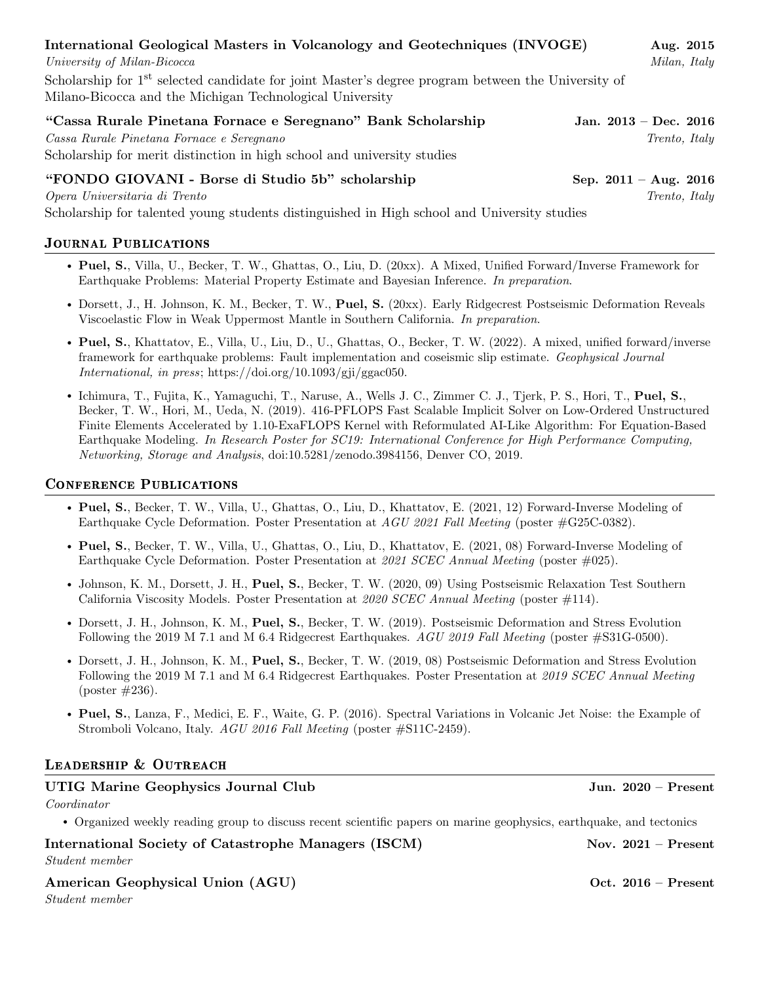| International Geological Masters in Volcanology and Geotechniques (INVOGE)                                                                                                           |                         | Aug. 2015            |
|--------------------------------------------------------------------------------------------------------------------------------------------------------------------------------------|-------------------------|----------------------|
| University of Milan-Bicocca                                                                                                                                                          |                         | Milan, Italy         |
| Scholarship for 1 <sup>st</sup> selected candidate for joint Master's degree program between the University of<br>Milano-Bicocca and the Michigan Technological University           |                         |                      |
| "Cassa Rurale Pinetana Fornace e Seregnano" Bank Scholarship<br>Cassa Rurale Pinetana Fornace e Seregnano<br>Scholarship for merit distinction in high school and university studies | Jan. $2013 - Dec. 2016$ | <i>Trento, Italy</i> |
| "FONDO GIOVANI - Borse di Studio 5b" scholarship                                                                                                                                     | Sep. $2011 - Aug. 2016$ |                      |
| Opera Universitaria di Trento                                                                                                                                                        |                         | Trento, Italy        |

Scholarship for talented young students distinguished in High school and University studies

## Journal Publications

- Puel, S., Villa, U., Becker, T. W., Ghattas, O., Liu, D. (20xx). A Mixed, Unified Forward/Inverse Framework for Earthquake Problems: Material Property Estimate and Bayesian Inference. In preparation.
- Dorsett, J., H. Johnson, K. M., Becker, T. W., Puel, S. (20xx). Early Ridgecrest Postseismic Deformation Reveals Viscoelastic Flow in Weak Uppermost Mantle in Southern California. In preparation.
- Puel, S., Khattatov, E., Villa, U., Liu, D., U., Ghattas, O., Becker, T. W. (2022). A mixed, unified forward/inverse framework for earthquake problems: Fault implementation and coseismic slip estimate. Geophysical Journal International, in press; [https://doi.org/10.1093/gji/ggac050.](https://doi.org/10.1093/gji/ggac050)
- Ichimura, T., Fujita, K., Yamaguchi, T., Naruse, A., Wells J. C., Zimmer C. J., Tjerk, P. S., Hori, T., Puel, S., Becker, T. W., Hori, M., Ueda, N. (2019). 416-PFLOPS Fast Scalable Implicit Solver on Low-Ordered Unstructured Finite Elements Accelerated by 1.10-ExaFLOPS Kernel with Reformulated AI-Like Algorithm: For Equation-Based Earthquake Modeling. In Research Poster for SC19: International Conference for High Performance Computing, Networking, Storage and Analysis, [doi:10.5281/zenodo.3984156,](doi: 10.5281/zenodo.3984156) Denver CO, 2019.

## Conference Publications

- Puel, S., Becker, T. W., Villa, U., Ghattas, O., Liu, D., Khattatov, E. (2021, 12) Forward-Inverse Modeling of Earthquake Cycle Deformation. Poster Presentation at AGU 2021 Fall Meeting (poster #G25C-0382).
- Puel, S., Becker, T. W., Villa, U., Ghattas, O., Liu, D., Khattatov, E. (2021, 08) Forward-Inverse Modeling of Earthquake Cycle Deformation. Poster Presentation at 2021 SCEC Annual Meeting (poster #025).
- Johnson, K. M., Dorsett, J. H., Puel, S., Becker, T. W. (2020, 09) Using Postseismic Relaxation Test Southern California Viscosity Models. Poster Presentation at 2020 SCEC Annual Meeting (poster #114).
- Dorsett, J. H., Johnson, K. M., Puel, S., Becker, T. W. (2019). Postseismic Deformation and Stress Evolution Following the 2019 M 7.1 and M 6.4 Ridgecrest Earthquakes. AGU 2019 Fall Meeting (poster #S31G-0500).
- Dorsett, J. H., Johnson, K. M., Puel, S., Becker, T. W. (2019, 08) Postseismic Deformation and Stress Evolution Following the 2019 M 7.1 and M 6.4 Ridgecrest Earthquakes. Poster Presentation at 2019 SCEC Annual Meeting (poster #236).
- Puel, S., Lanza, F., Medici, E. F., Waite, G. P. (2016). Spectral Variations in Volcanic Jet Noise: the Example of Stromboli Volcano, Italy. AGU 2016 Fall Meeting (poster #S11C-2459).

#### LEADERSHIP & OUTREACH

#### UTIG Marine Geophysics Journal Club Jun. 2020 – Present

Coordinator

• Organized weekly reading group to discuss recent scientific papers on marine geophysics, earthquake, and tectonics

#### International Society of Catastrophe Managers (ISCM) Nov. 2021 – Present Student member

#### American Geophysical Union (AGU) Oct. 2016 – Present

Student member